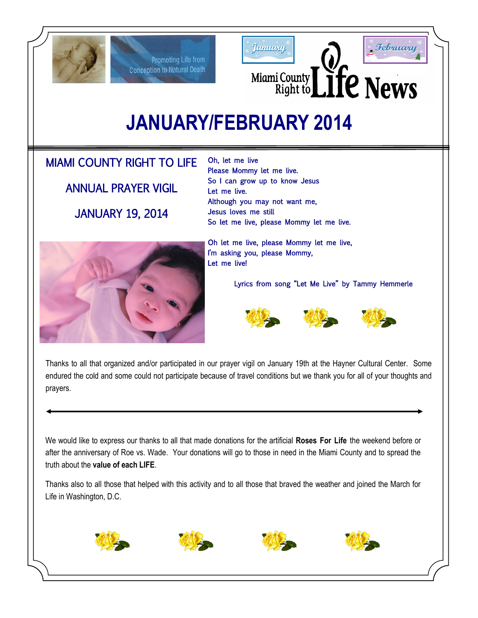

Promoting Life from **Conception to Natural Death** 





**JANUARY/FEBRUARY 2014**

# MIAMI COUNTY RIGHT TO LIFE

ANNUAL PRAYER VIGIL JANUARY 19, 2014

Oh, let me live Please Mommy let me live. So I can grow up to know Jesus Let me live. Although you may not want me, Jesus loves me still So let me live, please Mommy let me live.



Oh let me live, please Mommy let me live, I'm asking you, please Mommy, Let me live!

Lyrics from song "Let Me Live" by Tammy Hemmerle



Thanks to all that organized and/or participated in our prayer vigil on January 19th at the Hayner Cultural Center. Some endured the cold and some could not participate because of travel conditions but we thank you for all of your thoughts and prayers.

We would like to express our thanks to all that made donations for the artificial **Roses For Life** the weekend before or after the anniversary of Roe vs. Wade. Your donations will go to those in need in the Miami County and to spread the truth about the **value of each LIFE**.

Thanks also to all those that helped with this activity and to all those that braved the weather and joined the March for Life in Washington, D.C.







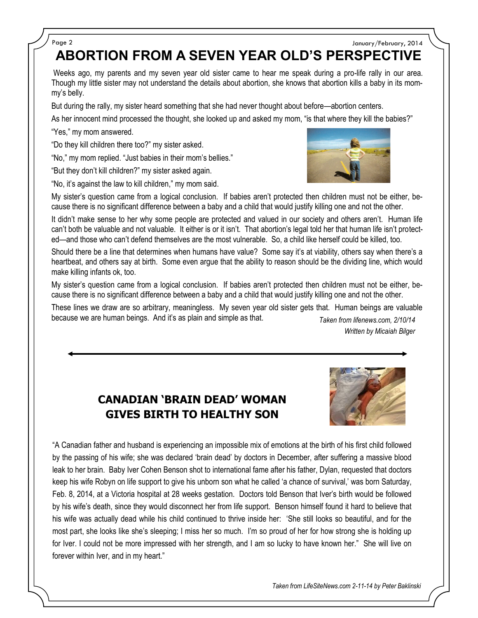### Page 2 January/February, 2014

**ABORTION FROM A SEVEN YEAR OLD'S PERSPECTIVE**

Weeks ago, my parents and my seven year old sister came to hear me speak during a pro-life rally in our area. Though my little sister may not understand the details about abortion, she knows that abortion kills a baby in its mommy's belly.

But during the rally, my sister heard something that she had never thought about before—abortion centers.

As her innocent mind processed the thought, she looked up and asked my mom, "is that where they kill the babies?" "Yes," my mom answered.

"Do they kill children there too?" my sister asked.

"No," my mom replied. "Just babies in their mom's bellies."

"But they don't kill children?" my sister asked again.

"No, it's against the law to kill children," my mom said.



My sister's question came from a logical conclusion. If babies aren't protected then children must not be either, because there is no significant difference between a baby and a child that would justify killing one and not the other.

It didn't make sense to her why some people are protected and valued in our society and others aren't. Human life can't both be valuable and not valuable. It either is or it isn't. That abortion's legal told her that human life isn't protected—and those who can't defend themselves are the most vulnerable. So, a child like herself could be killed, too.

Should there be a line that determines when humans have value? Some say it's at viability, others say when there's a heartbeat, and others say at birth. Some even argue that the ability to reason should be the dividing line, which would make killing infants ok, too.

My sister's question came from a logical conclusion. If babies aren't protected then children must not be either, because there is no significant difference between a baby and a child that would justify killing one and not the other.

These lines we draw are so arbitrary, meaningless. My seven year old sister gets that. Human beings are valuable because we are human beings. And it's as plain and simple as that. *Taken from lifenews.com, 2/10/14*

*Written by Micaiah Bilger*

## **CANADIAN 'BRAIN DEAD' WOMAN GIVES BIRTH TO HEALTHY SON**



"A Canadian father and husband is experiencing an impossible mix of emotions at the birth of his first child followed by the passing of his wife; she was declared 'brain dead' by doctors in December, after suffering a massive blood leak to her brain. Baby Iver Cohen Benson shot to international fame after his father, Dylan, requested that doctors keep his wife Robyn on life support to give his unborn son what he called 'a chance of survival,' was born Saturday, Feb. 8, 2014, at a Victoria hospital at 28 weeks gestation. Doctors told Benson that Iver's birth would be followed by his wife's death, since they would disconnect her from life support. Benson himself found it hard to believe that his wife was actually dead while his child continued to thrive inside her: 'She still looks so beautiful, and for the most part, she looks like she's sleeping; I miss her so much. I'm so proud of her for how strong she is holding up for Iver. I could not be more impressed with her strength, and I am so lucky to have known her." She will live on forever within Iver, and in my heart."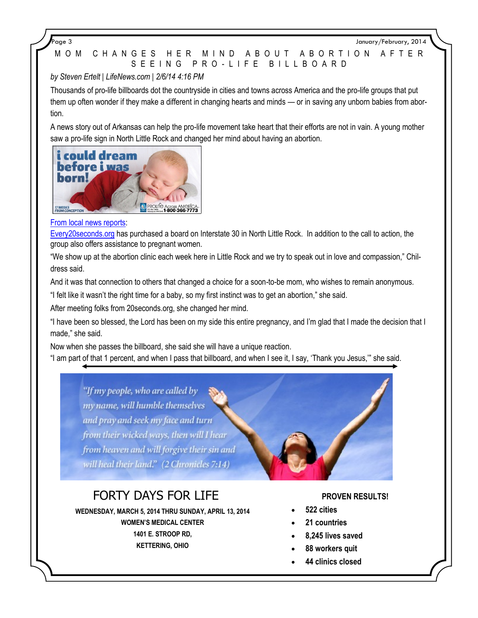Page 3 January/February, 2014

## M O M C H A N G E S H E R M I N D A B O U T A B O R T I O N A F T E R S E E I N G P R O - L I F E B I L L B O A R D

## *by Steven Ertelt | LifeNews.com | 2/6/14 4:16 PM*

Thousands of pro-life billboards dot the countryside in cities and towns across America and the pro-life groups that put them up often wonder if they make a different in changing hearts and minds — or in saving any unborn babies from abortion.

A news story out of Arkansas can help the pro-life movement take heart that their efforts are not in vain. A young mother saw a pro-life sign in North Little Rock and changed her mind about having an abortion.



## [From local news reports:](http://www.arkansasmatters.com/story/d/story/soon-to-be-mother-thankful-for-local-pro-life-orga/31157/LXuJiD7ypkajIcNeeyX4DQ)

[Every20seconds.org](http://www.every20seconds.org/) has purchased a board on Interstate 30 in North Little Rock. In addition to the call to action, the group also offers assistance to pregnant women.

"We show up at the abortion clinic each week here in Little Rock and we try to speak out in love and compassion," Childress said.

And it was that connection to others that changed a choice for a soon-to-be mom, who wishes to remain anonymous.

"I felt like it wasn't the right time for a baby, so my first instinct was to get an abortion," she said.

After meeting folks from 20seconds.org, she changed her mind.

"I have been so blessed, the Lord has been on my side this entire pregnancy, and I'm glad that I made the decision that I made," she said.

Now when she passes the billboard, she said she will have a unique reaction.

"I am part of that 1 percent, and when I pass that billboard, and when I see it, I say, 'Thank you Jesus,'" she said.

"If my people, who are called by my name, will humble themselves and pray and seek my face and turn from their wicked ways, then will I hear from heaven and will forgive their sin and will heal their land." (2 Chronicles 7:14)

# FORTY DAYS FOR LIFE

**WEDNESDAY, MARCH 5, 2014 THRU SUNDAY, APRIL 13, 2014**

**WOMEN'S MEDICAL CENTER 1401 E. STROOP RD, KETTERING, OHIO**

### **PROVEN RESULTS!**

- **522 cities**
- **21 countries**
- **8,245 lives saved**
- **88 workers quit**
- **44 clinics closed**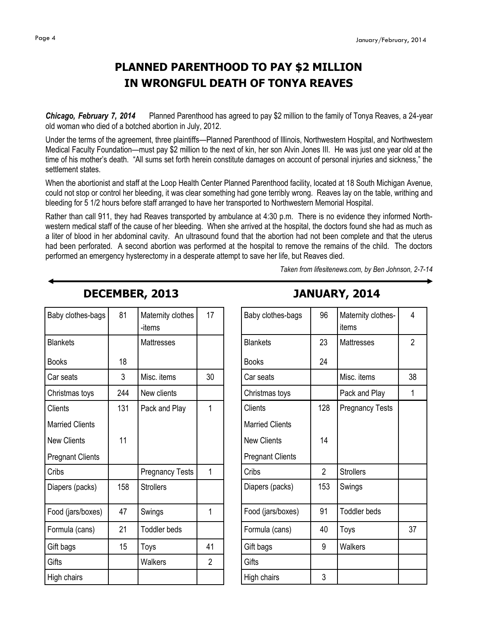# **PLANNED PARENTHOOD TO PAY \$2 MILLION IN WRONGFUL DEATH OF TONYA REAVES**

*Chicago, February 7, 2014* Planned Parenthood has agreed to pay \$2 million to the family of Tonya Reaves, a 24-year old woman who died of a botched abortion in July, 2012.

Under the terms of the agreement, three plaintiffs—Planned Parenthood of Illinois, Northwestern Hospital, and Northwestern Medical Faculty Foundation—must pay \$2 million to the next of kin, her son Alvin Jones III. He was just one year old at the time of his mother's death. "All sums set forth herein constitute damages on account of personal injuries and sickness," the settlement states.

When the abortionist and staff at the Loop Health Center Planned Parenthood facility, located at 18 South Michigan Avenue, could not stop or control her bleeding, it was clear something had gone terribly wrong. Reaves lay on the table, writhing and bleeding for 5 1/2 hours before staff arranged to have her transported to Northwestern Memorial Hospital.

Rather than call 911, they had Reaves transported by ambulance at 4:30 p.m. There is no evidence they informed Northwestern medical staff of the cause of her bleeding. When she arrived at the hospital, the doctors found she had as much as a liter of blood in her abdominal cavity. An ultrasound found that the abortion had not been complete and that the uterus had been perforated. A second abortion was performed at the hospital to remove the remains of the child. The doctors performed an emergency hysterectomy in a desperate attempt to save her life, but Reaves died.

*Taken from lifesitenews.com, by Ben Johnson, 2-7-14*

| Baby clothes-bags       | 81  | Maternity clothes<br>-items | 17             |
|-------------------------|-----|-----------------------------|----------------|
| <b>Blankets</b>         |     | <b>Mattresses</b>           |                |
| <b>Books</b>            | 18  |                             |                |
| Car seats               | 3   | Misc. items                 | 30             |
| Christmas toys          | 244 | New clients                 |                |
| Clients                 | 131 | Pack and Play               | $\overline{1}$ |
| <b>Married Clients</b>  |     |                             |                |
| <b>New Clients</b>      | 11  |                             |                |
| <b>Pregnant Clients</b> |     |                             |                |
| Cribs                   |     | <b>Pregnancy Tests</b>      | 1              |
| Diapers (packs)         | 158 | <b>Strollers</b>            |                |
| Food (jars/boxes)       | 47  | Swings                      | 1              |
| Formula (cans)          | 21  | <b>Toddler beds</b>         |                |
| Gift bags               | 15  | Toys                        | 41             |
| Gifts                   |     | Walkers                     | $\overline{2}$ |
| High chairs             |     |                             |                |

**DECEMBER, 2013**

# **JANUARY, 2014**

| Baby clothes-bags       | 96             | Maternity clothes-<br>items | 4              |
|-------------------------|----------------|-----------------------------|----------------|
| <b>Blankets</b>         | 23             | <b>Mattresses</b>           | $\overline{2}$ |
| <b>Books</b>            | 24             |                             |                |
| Car seats               |                | Misc. items                 | 38             |
| Christmas toys          |                | Pack and Play               | 1              |
| Clients                 | 128            | <b>Pregnancy Tests</b>      |                |
| <b>Married Clients</b>  |                |                             |                |
| <b>New Clients</b>      | 14             |                             |                |
| <b>Pregnant Clients</b> |                |                             |                |
| Cribs                   | $\overline{2}$ | <b>Strollers</b>            |                |
| Diapers (packs)         | 153            | Swings                      |                |
| Food (jars/boxes)       | 91             | <b>Toddler beds</b>         |                |
| Formula (cans)          | 40             | Toys                        | 37             |
| Gift bags               | 9              | Walkers                     |                |
| Gifts                   |                |                             |                |
| High chairs             | 3              |                             |                |